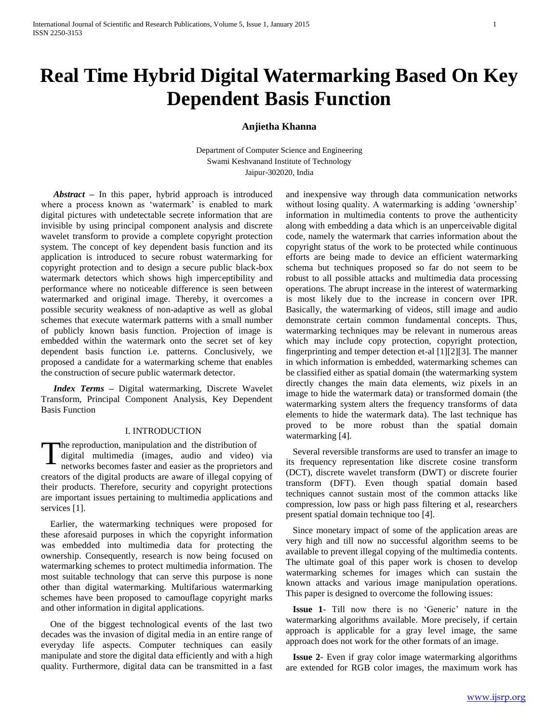# **Real Time Hybrid Digital Watermarking Based On Key Dependent Basis Function**

#### **Anjietha Khanna**

Department of Computer Science and Engineering Swami Keshvanand Institute of Technology Jaipur-302020, India

 *Abstract –* In this paper, hybrid approach is introduced where a process known as 'watermark' is enabled to mark digital pictures with undetectable secrete information that are invisible by using principal component analysis and discrete wavelet transform to provide a complete copyright protection system. The concept of key dependent basis function and its application is introduced to secure robust watermarking for copyright protection and to design a secure public black-box watermark detectors which shows high imperceptibility and performance where no noticeable difference is seen between watermarked and original image. Thereby, it overcomes a possible security weakness of non-adaptive as well as global schemes that execute watermark patterns with a small number of publicly known basis function. Projection of image is embedded within the watermark onto the secret set of key dependent basis function i.e. patterns. Conclusively, we proposed a candidate for a watermarking scheme that enables the construction of secure public watermark detector.

 *Index Terms –* Digital watermarking, Discrete Wavelet Transform, Principal Component Analysis, Key Dependent Basis Function

#### I. INTRODUCTION

he reproduction, manipulation and the distribution of digital multimedia (images, audio and video) via networks becomes faster and easier as the proprietors and creators of the digital products are aware of illegal copying of their products. Therefore, security and copyright protections are important issues pertaining to multimedia applications and services [1]. T

 Earlier, the watermarking techniques were proposed for these aforesaid purposes in which the copyright information was embedded into multimedia data for protecting the ownership. Consequently, research is now being focused on watermarking schemes to protect multimedia information. The most suitable technology that can serve this purpose is none other than digital watermarking. Multifarious watermarking schemes have been proposed to camouflage copyright marks and other information in digital applications.

 One of the biggest technological events of the last two decades was the invasion of digital media in an entire range of everyday life aspects. Computer techniques can easily manipulate and store the digital data efficiently and with a high quality. Furthermore, digital data can be transmitted in a fast

and inexpensive way through data communication networks without losing quality. A watermarking is adding 'ownership' information in multimedia contents to prove the authenticity along with embedding a data which is an unperceivable digital code, namely the watermark that carries information about the copyright status of the work to be protected while continuous efforts are being made to device an efficient watermarking schema but techniques proposed so far do not seem to be robust to all possible attacks and multimedia data processing operations. The abrupt increase in the interest of watermarking is most likely due to the increase in concern over IPR. Basically, the watermarking of videos, still image and audio demonstrate certain common fundamental concepts. Thus, watermarking techniques may be relevant in numerous areas which may include copy protection, copyright protection, fingerprinting and temper detection et-al [1][2][3]. The manner in which information is embedded, watermarking schemes can be classified either as spatial domain (the watermarking system directly changes the main data elements, wiz pixels in an image to hide the watermark data) or transformed domain (the watermarking system alters the frequency transforms of data elements to hide the watermark data). The last technique has proved to be more robust than the spatial domain watermarking [4].

 Several reversible transforms are used to transfer an image to its frequency representation like discrete cosine transform (DCT), discrete wavelet transform (DWT) or discrete fourier transform (DFT). Even though spatial domain based techniques cannot sustain most of the common attacks like compression, low pass or high pass filtering et al, researchers present spatial domain technique too [4].

 Since monetary impact of some of the application areas are very high and till now no successful algorithm seems to be available to prevent illegal copying of the multimedia contents. The ultimate goal of this paper work is chosen to develop watermarking schemes for images which can sustain the known attacks and various image manipulation operations. This paper is designed to overcome the following issues:

**Issue 1-** Till now there is no 'Generic' nature in the watermarking algorithms available. More precisely, if certain approach is applicable for a gray level image, the same approach does not work for the other formats of an image.

 **Issue 2***-* Even if gray color image watermarking algorithms are extended for RGB color images, the maximum work has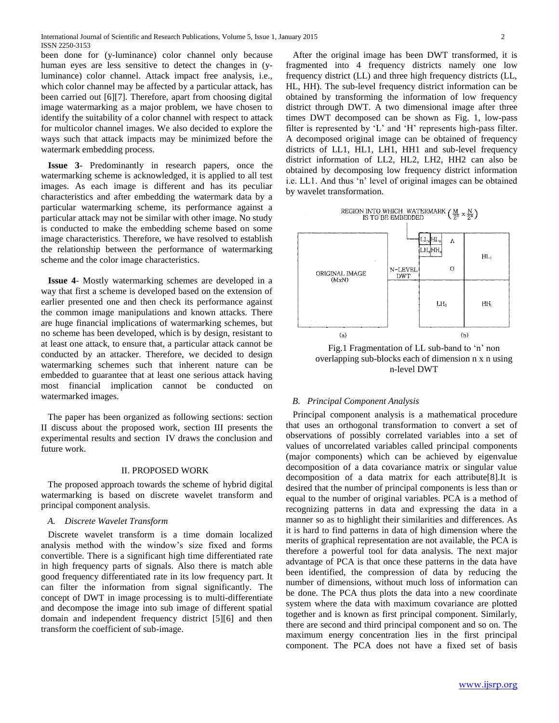been done for (y-luminance) color channel only because human eyes are less sensitive to detect the changes in (yluminance) color channel. Attack impact free analysis, i.e., which color channel may be affected by a particular attack, has been carried out [6][7]. Therefore, apart from choosing digital image watermarking as a major problem, we have chosen to identify the suitability of a color channel with respect to attack for multicolor channel images. We also decided to explore the ways such that attack impacts may be minimized before the watermark embedding process.

 **Issue 3**- Predominantly in research papers, once the watermarking scheme is acknowledged, it is applied to all test images. As each image is different and has its peculiar characteristics and after embedding the watermark data by a particular watermarking scheme, its performance against a particular attack may not be similar with other image. No study is conducted to make the embedding scheme based on some image characteristics. Therefore, we have resolved to establish the relationship between the performance of watermarking scheme and the color image characteristics.

 **Issue 4***-* Mostly watermarking schemes are developed in a way that first a scheme is developed based on the extension of earlier presented one and then check its performance against the common image manipulations and known attacks. There are huge financial implications of watermarking schemes, but no scheme has been developed, which is by design, resistant to at least one attack, to ensure that, a particular attack cannot be conducted by an attacker. Therefore, we decided to design watermarking schemes such that inherent nature can be embedded to guarantee that at least one serious attack having most financial implication cannot be conducted on watermarked images.

 The paper has been organized as following sections: section II discuss about the proposed work, section III presents the experimental results and section IV draws the conclusion and future work.

#### II. PROPOSED WORK

 The proposed approach towards the scheme of hybrid digital watermarking is based on discrete wavelet transform and principal component analysis.

#### *A. Discrete Wavelet Transform*

Discrete wavelet transform is a time domain localized analysis method with the window"s size fixed and forms convertible. There is a significant high time differentiated rate in high frequency parts of signals. Also there is match able good frequency differentiated rate in its low frequency part. It can filter the information from signal significantly. The concept of DWT in image processing is to multi-differentiate and decompose the image into sub image of different spatial domain and independent frequency district [5][6] and then transform the coefficient of sub-image.

 After the original image has been DWT transformed, it is fragmented into 4 frequency districts namely one low frequency district (LL) and three high frequency districts (LL, HL, HH). The sub-level frequency district information can be obtained by transforming the information of low frequency district through DWT. A two dimensional image after three times DWT decomposed can be shown as Fig. 1, low-pass filter is represented by 'L' and 'H' represents high-pass filter. A decomposed original image can be obtained of frequency districts of LL1, HL1, LH1, HH1 and sub-level frequency district information of LL2, HL2, LH2, HH2 can also be obtained by decomposing low frequency district information i.e. LL1. And thus "n" level of original images can be obtained by wavelet transformation.





Fig.1 Fragmentation of LL sub-band to 'n' non overlapping sub-blocks each of dimension n x n using n-level DWT

#### *B. Principal Component Analysis*

 Principal component analysis is a mathematical procedure that uses an orthogonal transformation to convert a set of observations of possibly correlated variables into a set of values of uncorrelated variables called principal components (major components) which can be achieved by eigenvalue decomposition of a data covariance matrix or singular value decomposition of a data matrix for each attribute[8].It is desired that the number of principal components is less than or equal to the number of original variables. PCA is a method of recognizing patterns in data and expressing the data in a manner so as to highlight their similarities and differences. As it is hard to find patterns in data of high dimension where the merits of graphical representation are not available, the PCA is therefore a powerful tool for data analysis. The next major advantage of PCA is that once these patterns in the data have been identified, the compression of data by reducing the number of dimensions, without much loss of information can be done. The PCA thus plots the data into a new coordinate system where the data with maximum covariance are plotted together and is known as first principal component. Similarly, there are second and third principal component and so on. The maximum energy concentration lies in the first principal component. The PCA does not have a fixed set of basis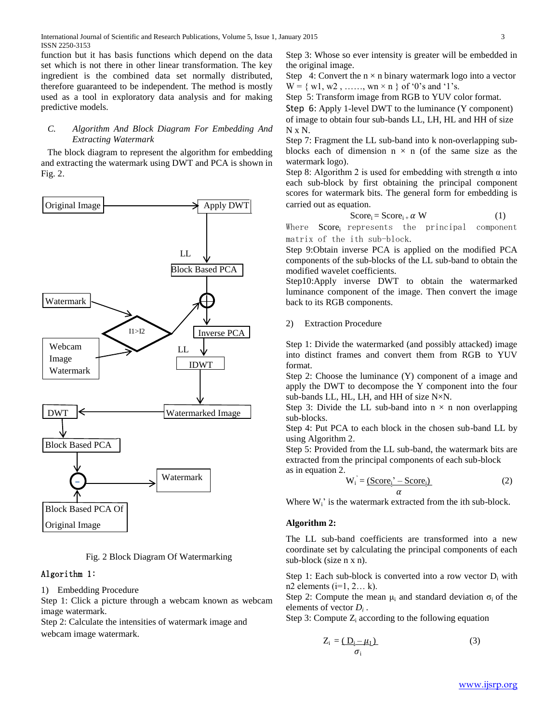function but it has basis functions which depend on the data set which is not there in other linear transformation. The key ingredient is the combined data set normally distributed, therefore guaranteed to be independent. The method is mostly used as a tool in exploratory data analysis and for making predictive models.

#### *C. Algorithm And Block Diagram For Embedding And Extracting Watermark*

The block diagram to represent the algorithm for embedding and extracting the watermark using DWT and PCA is shown in Fig. 2.



Fig. 2 Block Diagram Of Watermarking

# Algorithm 1:

1) Embedding Procedure

Step 1: Click a picture through a webcam known as webcam image watermark.

Step 2: Calculate the intensities of watermark image and webcam image watermark.

Step 3: Whose so ever intensity is greater will be embedded in the original image.

Step 4: Convert the  $n \times n$  binary watermark logo into a vector  $W = \{ w1, w2, \dots, wn \times n \}$  of '0's and '1's.

Step 5: Transform image from RGB to YUV color format.

Step 6: Apply 1-level DWT to the luminance (Y component) of image to obtain four sub-bands LL, LH, HL and HH of size N x N.

Step 7: Fragment the LL sub-band into k non-overlapping subblocks each of dimension  $n \times n$  (of the same size as the watermark logo).

Step 8: Algorithm 2 is used for embedding with strength  $\alpha$  into each sub-block by first obtaining the principal component scores for watermark bits. The general form for embedding is carried out as equation.

$$
Score_i = Score_{i} + \alpha W \tag{1}
$$

Where Score<sub>i</sub> represents the principal component matrix of the ith sub-block.

Step 9:Obtain inverse PCA is applied on the modified PCA components of the sub-blocks of the LL sub-band to obtain the modified wavelet coefficients.

Step10:Apply inverse DWT to obtain the watermarked luminance component of the image. Then convert the image back to its RGB components.

## 2) Extraction Procedure

Step 1: Divide the watermarked (and possibly attacked) image into distinct frames and convert them from RGB to YUV format.

Step 2: Choose the luminance (Y) component of a image and apply the DWT to decompose the Y component into the four sub-bands LL, HL, LH, and HH of size N×N.

Step 3: Divide the LL sub-band into  $n \times n$  non overlapping sub-blocks.

Step 4: Put PCA to each block in the chosen sub-band LL by using Algorithm 2.

Step 5: Provided from the LL sub-band, the watermark bits are extracted from the principal components of each sub-block as in equation 2.

$$
W_i = \underbrace{(Score_i^{\cdot} - Score_i)}{\alpha} \tag{2}
$$

Where  $W_i$ ' is the watermark extracted from the ith sub-block.

## **Algorithm 2:**

The LL sub-band coefficients are transformed into a new coordinate set by calculating the principal components of each sub-block (size n x n).

Step 1: Each sub-block is converted into a row vector  $D_i$  with n2 elements  $(i=1, 2... k)$ .

Step 2: Compute the mean  $\mu_i$  and standard deviation  $\sigma_i$  of the elements of vector *D<sup>i</sup>* .

Step 3: Compute  $Z_i$  according to the following equation

$$
Z_{i} = \underbrace{(D_{i} - \mu_{I})}_{\sigma_{i}} \tag{3}
$$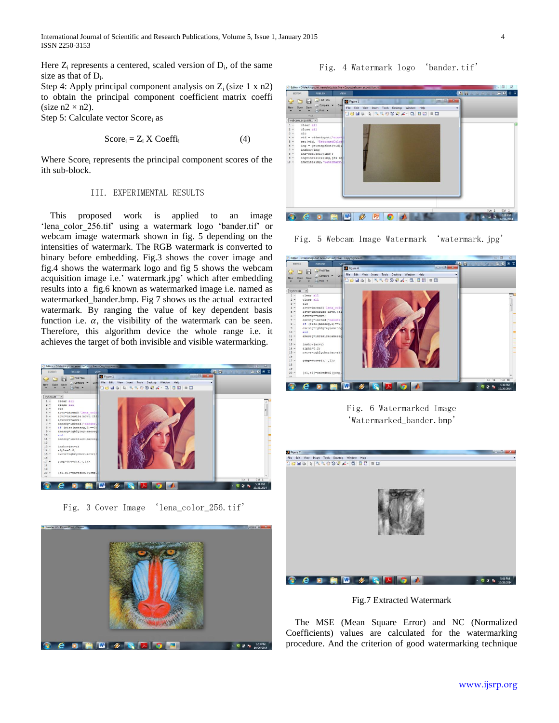International Journal of Scientific and Research Publications, Volume 5, Issue 1, January 2015 4 ISSN 2250-3153

Here  $Z_i$  represents a centered, scaled version of  $D_i$ , of the same size as that of  $D_i$ .

Step 4: Apply principal component analysis on  $Z_i$  (size 1 x n2) to obtain the principal component coefficient matrix coeffi (size  $n2 \times n2$ ).

Step 5: Calculate vector Score<sub>i</sub> as

$$
Score_i = Z_i \times Coeffi_i \tag{4}
$$

Where Score<sub>i</sub> represents the principal component scores of the ith sub-block.

#### III. EXPERIMENTAL RESULTS

 This proposed work is applied to an image 'lena color 256.tif' using a watermark logo 'bander.tif' or webcam image watermark shown in fig. 5 depending on the intensities of watermark. The RGB watermark is converted to binary before embedding. Fig.3 shows the cover image and fig.4 shows the watermark logo and fig 5 shows the webcam acquisition image i.e.' watermark.jpg' which after embedding results into a fig.6 known as watermarked image i.e. named as watermarked\_bander.bmp. Fig 7 shows us the actual extracted watermark. By ranging the value of key dependent basis function i.e.  $\alpha$ , the visibility of the watermark can be seen. Therefore, this algorithm device the whole range i.e. it achieves the target of both invisible and visible watermarking.



Fig. 3 Cover Image 'lena\_color\_256.tif'



Fig. 4 Watermark logo 'bander.tif'



Fig. 5 Webcam Image Watermark 'watermark.jpg'



Fig. 6 Watermarked Image 'Watermarked bander.bmp'



Fig.7 Extracted Watermark

 The MSE (Mean Square Error) and NC (Normalized Coefficients) values are calculated for the watermarking procedure. And the criterion of good watermarking technique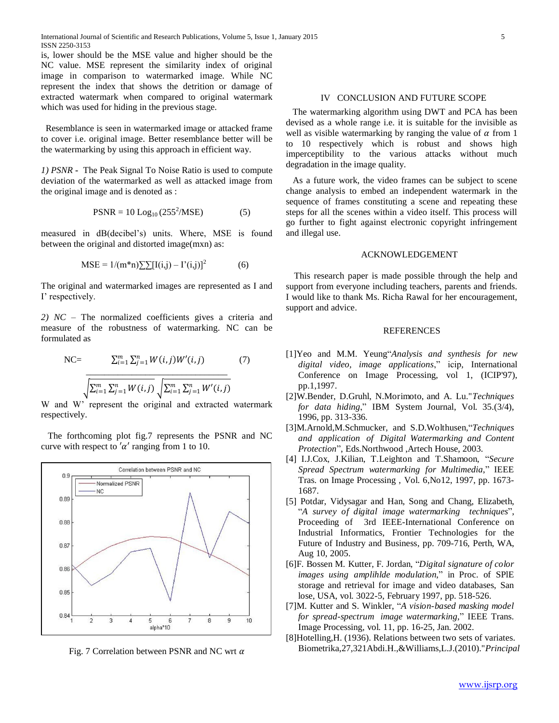is, lower should be the MSE value and higher should be the NC value. MSE represent the similarity index of original image in comparison to watermarked image. While NC represent the index that shows the detrition or damage of extracted watermark when compared to original watermark which was used for hiding in the previous stage.

 Resemblance is seen in watermarked image or attacked frame to cover i.e. original image. Better resemblance better will be the watermarking by using this approach in efficient way.

*1) PSNR* **-** The Peak Signal To Noise Ratio is used to compute deviation of the watermarked as well as attacked image from the original image and is denoted as :

$$
PSNR = 10 \text{ Log}_{10} (255^2/\text{MSE}) \tag{5}
$$

measured in dB(decibel"s) units. Where, MSE is found between the original and distorted image(mxn) as:

$$
MSE = 1/(m*n)\sum \prod(i,j) - \Gamma'(i,j))^2
$$
 (6)

The original and watermarked images are represented as I and I' respectively.

*2) NC –* The normalized coefficients gives a criteria and measure of the robustness of watermarking. NC can be formulated as

NC=
$$
\frac{\sum_{i=1}^{m} \sum_{j=1}^{n} W(i,j)W'(i,j)}{\sqrt{\sum_{i=1}^{m} \sum_{j=1}^{n} W(i,j)} \sqrt{\sum_{i=1}^{m} \sum_{j=1}^{n} W'(i,j)}}
$$
(7)

W and W" represent the original and extracted watermark respectively.

 The forthcoming plot fig.7 represents the PSNR and NC curve with respect to ' $\alpha'$  ranging from 1 to 10.



Fig. 7 Correlation between PSNR and NC wrt  $\alpha$ 

## IV CONCLUSION AND FUTURE SCOPE

 The watermarking algorithm using DWT and PCA has been devised as a whole range i.e. it is suitable for the invisible as well as visible watermarking by ranging the value of  $\alpha$  from 1 to 10 respectively which is robust and shows high imperceptibility to the various attacks without much degradation in the image quality.

 As a future work, the video frames can be subject to scene change analysis to embed an independent watermark in the sequence of frames constituting a scene and repeating these steps for all the scenes within a video itself. This process will go further to fight against electronic copyright infringement and illegal use.

#### ACKNOWLEDGEMENT

This research paper is made possible through the help and support from everyone including teachers, parents and friends. I would like to thank Ms. Richa Rawal for her encouragement, support and advice.

## REFERENCES

- [1]Yeo and M.M. Yeung"*Analysis and synthesis for new digital video, image applications*," icip, International Conference on Image Processing, vol 1, (ICIP'97), pp.1,1997.
- [2]W.Bender, D.Gruhl, N.Morimoto, and A. Lu."*Techniques for data hiding*," IBM System Journal, Vol. 35.(3/4), 1996, pp. 313-336.
- [3]M.Arnold,M.Schmucker, and S.D.Wolthusen,"*Techniques and application of Digital Watermarking and Content Protection*", Eds.Northwood ,Artech House, 2003.
- [4] I.J.Cox, J.Kilian, T.Leighton and T.Shamoon, "*Secure Spread Spectrum watermarking for Multimedia*," IEEE Tras. on Image Processing , Vol. 6,No12, 1997, pp. 1673- 1687.
- [5] Potdar, Vidysagar and Han, Song and Chang, Elizabeth, "*A survey of digital image watermarking techniques*", Proceeding of 3rd IEEE-International Conference on Industrial Informatics, Frontier Technologies for the Future of Industry and Business, pp. 709-716, Perth, WA, Aug 10, 2005.
- [6]F. Bossen M. Kutter, F. Jordan, "*Digital signature of color images using amplihlde modulation*," in Proc. of SPlE storage and retrieval for image and video databases, San lose, USA, vol. 3022-5, February 1997, pp. 518-526.
- [7]M. Kutter and S. Winkler, "*A vision-based masking model for spread-spectrum image watermarking*," IEEE Trans. Image Processing, vol. 11, pp. 16-25, Jan. 2002.
- [8]Hotelling,H. (1936). Relations between two sets of variates. Biometrika,27,321Abdi.H.,&Williams,L.J.(2010)."*Principal*